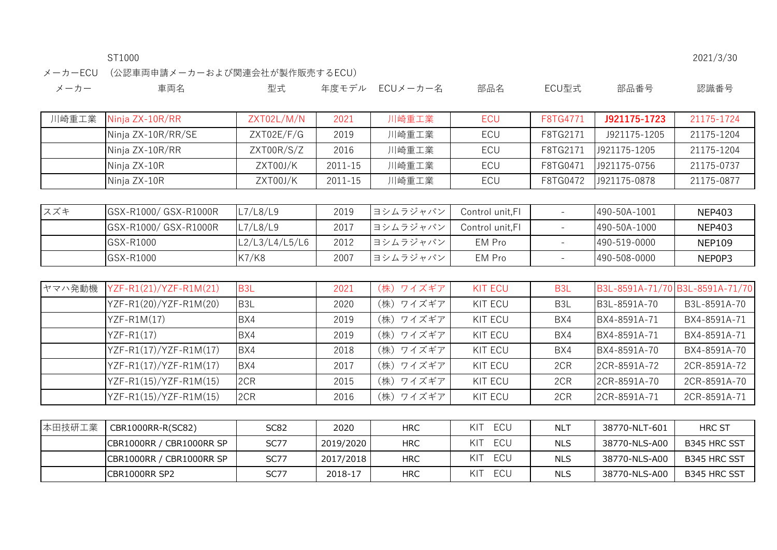メーカーECU (公認車両申請メーカーおよび関連会社が製作販売するECU)

| メーカー | 車両名 |  | 型式 年度モデル ECUメーカー名 部品名 ECU型式 部品番号 認識番号 |  |  |  |  |
|------|-----|--|---------------------------------------|--|--|--|--|
|------|-----|--|---------------------------------------|--|--|--|--|

| 川崎重工業 | Ninja ZX-10R/RR       | ZXT02L/M/N     | 2021    | 川崎重工業    | ECU              | F8TG4771                 | J921175-1723 | 21175-1724    |
|-------|-----------------------|----------------|---------|----------|------------------|--------------------------|--------------|---------------|
|       | Ninja ZX-10R/RR/SE    | ZXT02E/F/G     | 2019    | 川崎重工業    | <b>ECU</b>       | F8TG2171                 | J921175-1205 | 21175-1204    |
|       | Ninja ZX-10R/RR       | ZXT00R/S/Z     | 2016    | 川崎重工業    | <b>ECU</b>       | F8TG2171                 | J921175-1205 | 21175-1204    |
|       | Ninja ZX-10R          | ZXT00J/K       | 2011-15 | 川崎重工業    | ECU              | F8TG0471                 | J921175-0756 | 21175-0737    |
|       | Ninja ZX-10R          | ZXT00J/K       | 2011-15 | 川崎重工業    | ECU              | F8TG0472                 | J921175-0878 | 21175-0877    |
|       |                       |                |         |          |                  |                          |              |               |
| スズキ   | GSX-R1000/ GSX-R1000R | L7/L8/L9       | 2019    | ヨシムラジャパン | Control unit, FI | $\overline{\phantom{a}}$ | 490-50A-1001 | <b>NEP403</b> |
|       | GSX-R1000/ GSX-R1000R | L7/L8/L9       | 2017    | ヨシムラジャパン | Control unit, FI | $\overline{\phantom{a}}$ | 490-50A-1000 | <b>NEP403</b> |
|       | GSX-R1000             | L2/L3/L4/L5/L6 | 2012    | ヨシムラジャパン | EM Pro           | $\overline{\phantom{a}}$ | 490-519-0000 | <b>NEP109</b> |
|       | GSX-R1000             | K7/K8          | 2007    | ヨシムラジャパン | EM Pro           | $\overline{\phantom{a}}$ | 490-508-0000 | NEP0P3        |

| ヤマハ発動機 | $YZF-R1(21)/YZF-R1M(21)$ | B <sub>3</sub> L | 2021 | (株) ワイズギア | <b>KIT ECU</b> | B <sub>3</sub> L |              | B3L-8591A-71/70 B3L-8591A-71/70 |
|--------|--------------------------|------------------|------|-----------|----------------|------------------|--------------|---------------------------------|
|        | YZF-R1(20)/YZF-R1M(20)   | B <sub>3</sub> L | 2020 | (株) ワイズギア | KIT ECU        | B <sub>3</sub> L | B3L-8591A-70 | B3L-8591A-70                    |
|        | $YZF-RIM(17)$            | BX4              | 2019 | (株) ワイズギア | KIT ECU        | BX4              | BX4-8591A-71 | BX4-8591A-71                    |
|        | $YZF-R1(17)$             | BX4              | 2019 | (株) ワイズギア | KIT ECU        | BX4              | BX4-8591A-71 | BX4-8591A-71                    |
|        | YZF-R1(17)/YZF-R1M(17)   | BX4              | 2018 | (株) ワイズギア | KIT ECU        | BX4              | BX4-8591A-70 | BX4-8591A-70                    |
|        | YZF-R1(17)/YZF-R1M(17)   | BX4              | 2017 | (株) ワイズギア | KIT ECU        | 2CR              | 2CR-8591A-72 | 2CR-8591A-72                    |
|        | YZF-R1(15)/YZF-R1M(15)   | 2CR              | 2015 | (株) ワイズギア | KIT ECU        | 2CR              | 2CR-8591A-70 | 2CR-8591A-70                    |
|        | YZF-R1(15)/YZF-R1M(15)   | 2CR              | 2016 | (株) ワイズギア | KIT ECU        | 2CR              | 2CR-8591A-71 | 2CR-8591A-71                    |
|        |                          |                  |      |           |                |                  |              |                                 |

| 本田技研工業 | CBR1000RR-R(SC82)        | SC82        | 2020      | <b>HRC</b> | KIT<br>ECU        | NL"        | 38770-NLT-601 | <b>HRC ST</b>       |
|--------|--------------------------|-------------|-----------|------------|-------------------|------------|---------------|---------------------|
|        | CBR1000RR / CBR1000RR SP | SC77        | 2019/2020 | <b>HRC</b> | KI1<br><b>ECU</b> | <b>NLS</b> | 38770-NLS-A00 | <b>B345 HRC SST</b> |
|        | CBR1000RR / CBR1000RR SP | <b>SC77</b> | 2017/2018 | <b>HRC</b> | ECU<br>KIT        | <b>NLS</b> | 38770-NLS-A00 | <b>B345 HRC SST</b> |
|        | <b>CBR1000RR SP2</b>     | SC77        | 2018-17   | <b>HRC</b> | KI"<br>ECU        | <b>NLS</b> | 38770-NLS-A00 | <b>B345 HRC SST</b> |

ST1000 2021/3/30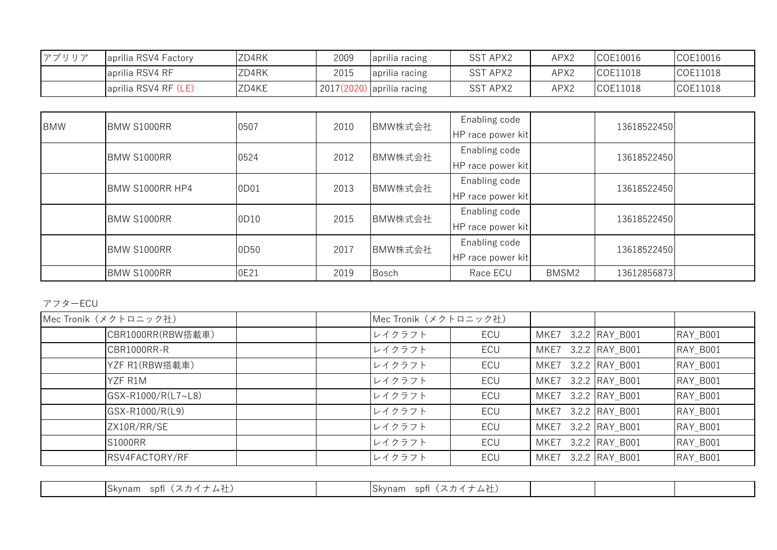| アプリリア | aprilia RSV4 Factory | ZD4RK | 2009 | aprilia racing | <b>SST APX2</b> | APX2 | COE10016 | COE10016 |
|-------|----------------------|-------|------|----------------|-----------------|------|----------|----------|
|       | aprilia RSV4 RF      | ZD4RK | 2015 | aprilia racing | <b>SST APX2</b> | APX2 | COE11018 | COE11018 |
|       | aprilia RSV4 RF (LE) | ZD4KE | 2017 | aprilia racing | SST APX2        | APX2 | COE11018 | COE11018 |

| <b>BMW</b> | <b>BMW S1000RR</b> | 0507 | 2010 | BMW株式会社      | Enabling code<br>HP race power kit |       | 13618522450 |  |
|------------|--------------------|------|------|--------------|------------------------------------|-------|-------------|--|
|            | BMW S1000RR        | 0524 | 2012 | BMW株式会社      | Enabling code<br>HP race power kit |       | 13618522450 |  |
|            | BMW S1000RR HP4    | 0D01 | 2013 | BMW株式会社      | Enabling code<br>HP race power kit |       | 13618522450 |  |
|            | BMW S1000RR        | 0D10 | 2015 | BMW株式会社      | Enabling code<br>HP race power kit |       | 13618522450 |  |
|            | BMW S1000RR        | 0D50 | 2017 | BMW株式会社      | Enabling code<br>HP race power kit |       | 13618522450 |  |
|            | BMW S1000RR        | 0E21 | 2019 | <b>Bosch</b> | Race ECU                           | BMSM2 | 13612856873 |  |

## アフターECU

| Mec Tronik (メクトロニック社) |                    | Mec Tronik (メクトロニック社) |        |            |                     |                |          |
|-----------------------|--------------------|-----------------------|--------|------------|---------------------|----------------|----------|
|                       | CBR1000RR(RBW搭載車)  |                       | レイクラフト | ECU        | MKE7 3.2.2 RAY_B001 |                | RAY_B001 |
|                       | CBR1000RR-R        |                       | レイクラフト | ECU        | MKE7                | 3.2.2 RAY_B001 | RAY_B001 |
|                       | YZF R1(RBW搭載車)     |                       | レイクラフト | ECU        | MKE7                | 3.2.2 RAY B001 | RAY_B001 |
|                       | YZF R1M            |                       | レイクラフト | <b>ECU</b> | MKE7 3.2.2 RAY B001 |                | RAY_B001 |
|                       | GSX-R1000/R(L7~L8) |                       | レイクラフト | ECU        | MKE7                | 3.2.2 RAY B001 | RAY_B001 |
|                       | GSX-R1000/R(L9)    |                       | レイクラフト | ECU        | MKE7                | 3.2.2 RAY B001 | RAY_B001 |
|                       | ZX10R/RR/SE        |                       | レイクラフト | ECU        | MKE7 3.2.2 RAY B001 |                | RAY_B001 |
|                       | <b>S1000RR</b>     |                       | レイクラフト | ECU        | MKE7                | 3.2.2 RAY B001 | RAY B001 |
|                       | RSV4FACTORY/RF     |                       | レイクラフト | ECU        | MKE7 3.2.2 RAY B001 |                | RAY B001 |